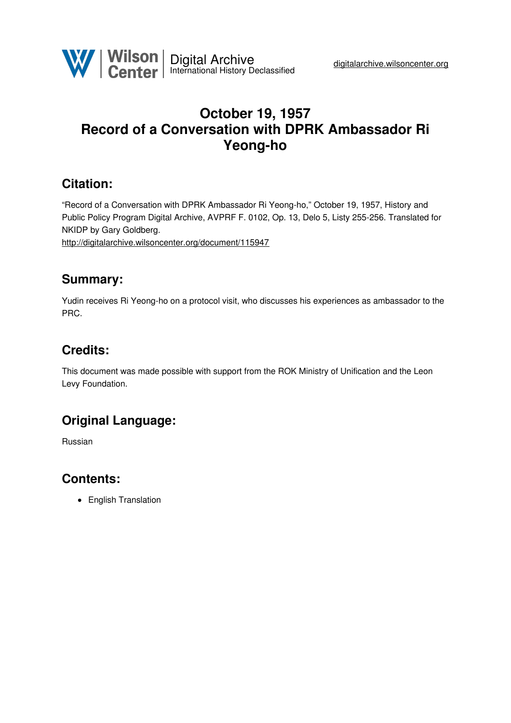

# **October 19, 1957 Record of a Conversation with DPRK Ambassador Ri Yeong-ho**

## **Citation:**

"Record of a Conversation with DPRK Ambassador Ri Yeong-ho," October 19, 1957, History and Public Policy Program Digital Archive, AVPRF F. 0102, Op. 13, Delo 5, Listy 255-256. Translated for NKIDP by Gary Goldberg.

<http://digitalarchive.wilsoncenter.org/document/115947>

### **Summary:**

Yudin receives Ri Yeong-ho on a protocol visit, who discusses his experiences as ambassador to the PRC.

# **Credits:**

This document was made possible with support from the ROK Ministry of Unification and the Leon Levy Foundation.

## **Original Language:**

Russian

### **Contents:**

English Translation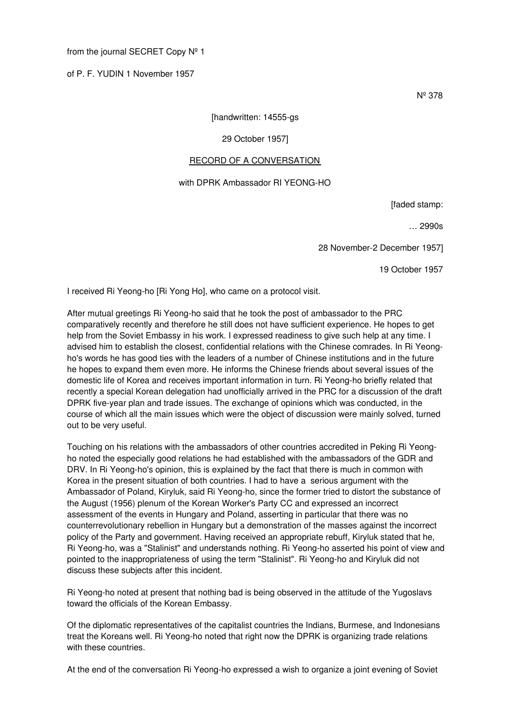#### from the journal SECRET Copy Nº 1

of P. F. YUDIN 1 November 1957

Nº 378

#### [handwritten: 14555-gs

#### 29 October 1957]

#### RECORD OF A CONVERSATION

#### with DPRK Ambassador RI YEONG-HO

[faded stamp:

… 2990s

28 November-2 December 1957]

19 October 1957

I received Ri Yeong-ho [Ri Yong Ho], who came on a protocol visit.

After mutual greetings Ri Yeong-ho said that he took the post of ambassador to the PRC comparatively recently and therefore he still does not have sufficient experience. He hopes to get help from the Soviet Embassy in his work. I expressed readiness to give such help at any time. I advised him to establish the closest, confidential relations with the Chinese comrades. In Ri Yeongho's words he has good ties with the leaders of a number of Chinese institutions and in the future he hopes to expand them even more. He informs the Chinese friends about several issues of the domestic life of Korea and receives important information in turn. Ri Yeong-ho briefly related that recently a special Korean delegation had unofficially arrived in the PRC for a discussion of the draft DPRK five-year plan and trade issues. The exchange of opinions which was conducted, in the course of which all the main issues which were the object of discussion were mainly solved, turned out to be very useful.

Touching on his relations with the ambassadors of other countries accredited in Peking Ri Yeongho noted the especially good relations he had established with the ambassadors of the GDR and DRV. In Ri Yeong-ho's opinion, this is explained by the fact that there is much in common with Korea in the present situation of both countries. I had to have a serious argument with the Ambassador of Poland, Kiryluk, said Ri Yeong-ho, since the former tried to distort the substance of the August (1956) plenum of the Korean Worker's Party CC and expressed an incorrect assessment of the events in Hungary and Poland, asserting in particular that there was no counterrevolutionary rebellion in Hungary but a demonstration of the masses against the incorrect policy of the Party and government. Having received an appropriate rebuff, Kiryluk stated that he, Ri Yeong-ho, was a "Stalinist" and understands nothing. Ri Yeong-ho asserted his point of view and pointed to the inappropriateness of using the term "Stalinist". Ri Yeong-ho and Kiryluk did not discuss these subjects after this incident.

Ri Yeong-ho noted at present that nothing bad is being observed in the attitude of the Yugoslavs toward the officials of the Korean Embassy.

Of the diplomatic representatives of the capitalist countries the Indians, Burmese, and Indonesians treat the Koreans well. Ri Yeong-ho noted that right now the DPRK is organizing trade relations with these countries.

At the end of the conversation Ri Yeong-ho expressed a wish to organize a joint evening of Soviet